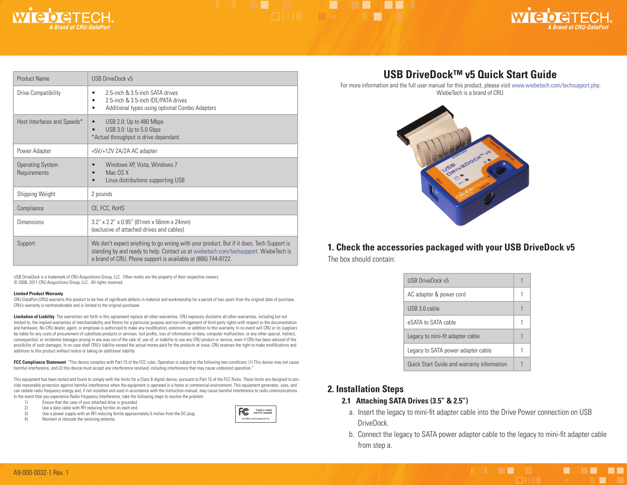

## HIM THE SAME THE VEHICLE **ENTERNATION CONTINUES.**



| <b>Product Name</b>                     | USB DriveDock v5                                                                                                                                                                                                                                 |
|-----------------------------------------|--------------------------------------------------------------------------------------------------------------------------------------------------------------------------------------------------------------------------------------------------|
| Drive Compatibility                     | 2.5-inch & 3.5-inch SATA drives<br>٠<br>2.5-inch & 3.5-inch IDE/PATA drives<br>$\bullet$<br>Additional types using optional Combo Adapters<br>٠                                                                                                  |
| Host Interfaces and Speeds*             | USB 2.0: Up to 480 Mbps<br>USB 3.0: Up to 5.0 Gbps<br>*Actual throughput is drive dependant.                                                                                                                                                     |
| Power Adapter                           | +5V/+12V 2A/2A AC adapter                                                                                                                                                                                                                        |
| <b>Operating System</b><br>Requirements | Windows XP, Vista, Windows 7<br>Mac OS X<br>Linux distributions supporting USB                                                                                                                                                                   |
| Shipping Weight                         | 2 pounds                                                                                                                                                                                                                                         |
| Compliance                              | CE, FCC, RoHS                                                                                                                                                                                                                                    |
| <b>Dimensions</b>                       | 3.2" x 2.2" x 0.95" (81mm x 56mm x 24mm)<br>(exclusive of attached drives and cables)                                                                                                                                                            |
| Support                                 | We don't expect anything to go wrong with your product. But if it does, Tech Support is<br>standing by and ready to help. Contact us at wiebetech.com/techsupport. WiebeTech is<br>a brand of CRU. Phone support is available at (866) 744-8722. |

USB DriveDock is a trademark of CRU Acquisitions Group, LLC. Other marks are the property of their respective owners. © 2008, 2011 CRU Acquisitions Group, LLC. All rights reserved.

#### **Limited Product Warranty**

CRU-DataPort (CRU) warrants this product to be free of significant defects in material and workmanship for a period of two years from the original date of purchase. CRU's warranty is nontransferable and is limited to the original purchaser.

Limitation of Liability: The warranties set forth in this agreement replace all other warranties. CRU expressly disclaims all other warranties, including but not limited to, the implied warranties of merchantability and fitness for a particular purpose and non-infringement of third-party rights with respect to the documentation and hardware. No CRU dealer, agent, or employee is authorized to make any modification, extension, or addition to this warranty. In no event will CRU or its suppliers be liable for any costs of procurement of substitute products or services, lost profits, loss of information or data, computer malfunction, or any other special, indirect, consequential, or incidental damages arising in any way out of the sale of, use of, or inability to use any CRU product or service, even if CRU has been advised of the possibility of such damages. In no case shall CRU's liability exceed the actual money paid for the products at issue. CRU reserves the right to make modifications and additions to this product without notice or taking on additional liability.

**FCC Compliance Statement**: "This device complies with Part 15 of the FCC rules. Operation is subject to the following two conditions: (1) This device may not cause harmful interference, and (2) this device must accept any interference received, including interference that may cause undesired operation."

This equipment has been tested and found to comply with the limits for a Class B digital device, pursuant to Part 15 of the FCC Rules. These limits are designed to provide reasonable protection against harmful interference when the equipment is operated in a home or commercial environment. This equipment generates, uses, and can radiate radio frequency energy and, if not installed and used in accordance with the instruction manual, may cause harmful interference to radio communications. In the event that you experience Radio Frequency Interference, take the following steps to resolve the problem:<br>
1) Ensure that the case of your attached drive is grounded.

- Ensure that the case of your attached drive is grounded.
- 2) Use a data cable with RFI reducing ferrites on each end.<br>3) Use a nower supply with an RFI reducing ferrite approximate
- Use a power supply with an RFI reducing ferrite approximately 5 inches from the DC plug.
- 4) Reorient or relocate the receiving antenna.



## **USB DriveDock™ v5 Quick Start Guide**

For more information and the full user manual for this product, please visit www.wiebetech.com/techsupport.php. WiebeTech is a brand of CRU.



### **1. Check the accessories packaged with your USB DriveDock v5**

The box should contain:

| <b>USB DriveDock v5</b>                    |  |
|--------------------------------------------|--|
| AC adapter & power cord                    |  |
| USB 3.0 cable                              |  |
| eSATA to SATA cable                        |  |
| Legacy to mini-fit adapter cable           |  |
| Legacy to SATA power adapter cable         |  |
| Quick Start Guide and warranty information |  |

#### **2. Installation Steps**

#### **2.1 Attaching SATA Drives (3.5" & 2.5")**

- a. Insert the legacy to mini-fit adapter cable into the Drive Power connection on USB DriveDock.
- b. Connect the legacy to SATA power adapter cable to the legacy to mini-fit adapter cable from step a.

Herman Company of the Company of the Company of the Company of the Company of the Company of the Company of the

**A 1999 - A 199**